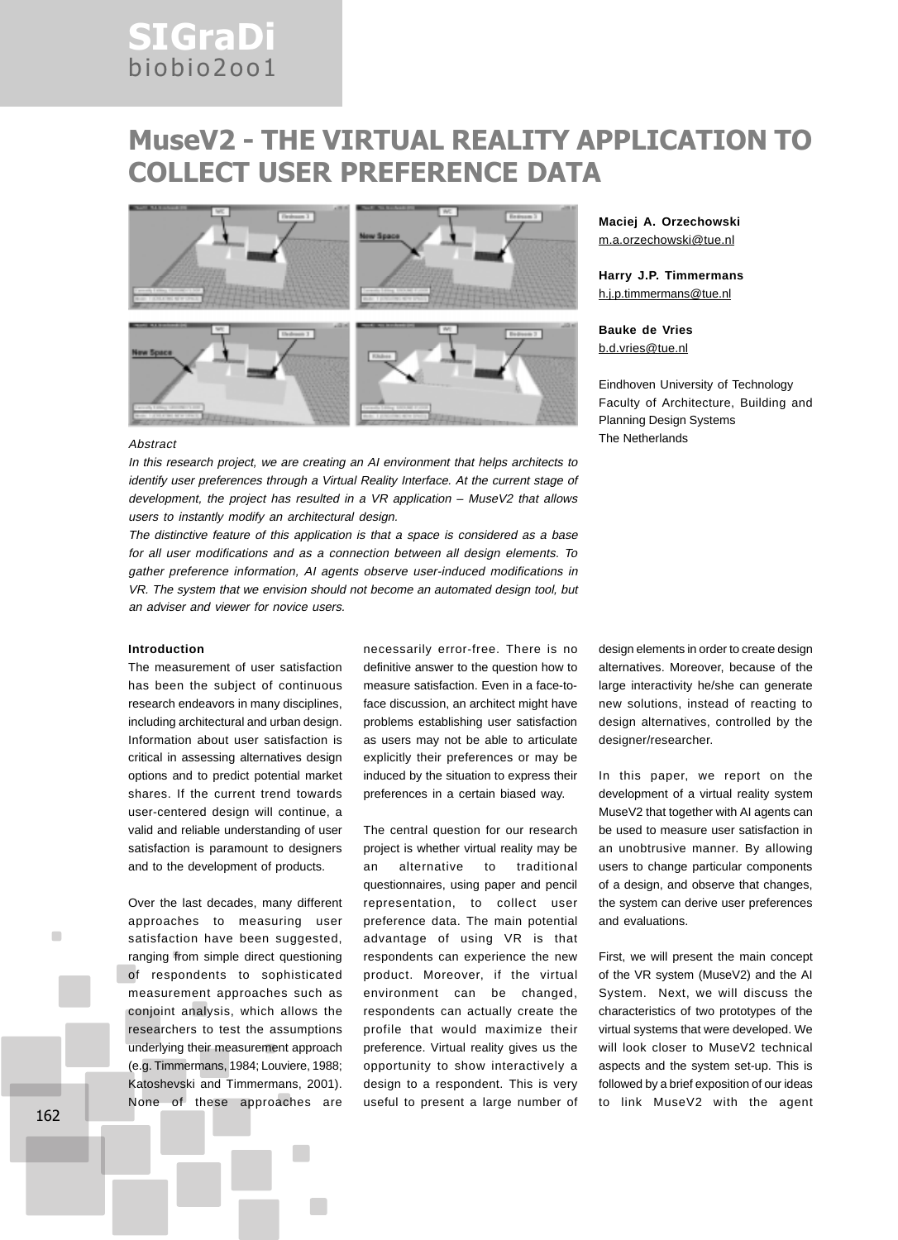# SIGraDi biobio2oo1

# MuseV2 - THE VIRTUAL REALITY APPLICATION TO COLLECT USER PREFERENCE DATA



# **Maciej A. Orzechowski** m.a.orzechowski@tue.nl

**Harry J.P. Timmermans** h.j.p.timmermans@tue.nl

**Bauke de Vries** b.d.vries@tue.nl

Eindhoven University of Technology Faculty of Architecture, Building and Planning Design Systems

In this research project, we are creating an AI environment that helps architects to identify user preferences through a Virtual Reality Interface. At the current stage of development, the project has resulted in a VR application – MuseV2 that allows users to instantly modify an architectural design.

The distinctive feature of this application is that a space is considered as a base for all user modifications and as a connection between all design elements. To gather preference information, AI agents observe user-induced modifications in VR. The system that we envision should not become an automated design tool, but an adviser and viewer for novice users.

#### **Introduction**

The measurement of user satisfaction has been the subject of continuous research endeavors in many disciplines, including architectural and urban design. Information about user satisfaction is critical in assessing alternatives design options and to predict potential market shares. If the current trend towards user-centered design will continue, a valid and reliable understanding of user satisfaction is paramount to designers and to the development of products.

Over the last decades, many different approaches to measuring user satisfaction have been suggested, ranging from simple direct questioning of respondents to sophisticated measurement approaches such as conjoint analysis, which allows the researchers to test the assumptions underlying their measurement approach (e.g. Timmermans, 1984; Louviere, 1988; Katoshevski and Timmermans, 2001). None of these approaches are

necessarily error-free. There is no definitive answer to the question how to measure satisfaction. Even in a face-toface discussion, an architect might have problems establishing user satisfaction as users may not be able to articulate explicitly their preferences or may be induced by the situation to express their preferences in a certain biased way.

The central question for our research project is whether virtual reality may be an alternative to traditional questionnaires, using paper and pencil representation, to collect user preference data. The main potential advantage of using VR is that respondents can experience the new product. Moreover, if the virtual environment can be changed, respondents can actually create the profile that would maximize their preference. Virtual reality gives us the opportunity to show interactively a design to a respondent. This is very useful to present a large number of design elements in order to create design alternatives. Moreover, because of the large interactivity he/she can generate new solutions, instead of reacting to design alternatives, controlled by the designer/researcher.

In this paper, we report on the development of a virtual reality system MuseV2 that together with AI agents can be used to measure user satisfaction in an unobtrusive manner. By allowing users to change particular components of a design, and observe that changes, the system can derive user preferences and evaluations.

First, we will present the main concept of the VR system (MuseV2) and the AI System. Next, we will discuss the characteristics of two prototypes of the virtual systems that were developed. We will look closer to MuseV2 technical aspects and the system set-up. This is followed by a brief exposition of our ideas to link MuseV2 with the agent

٠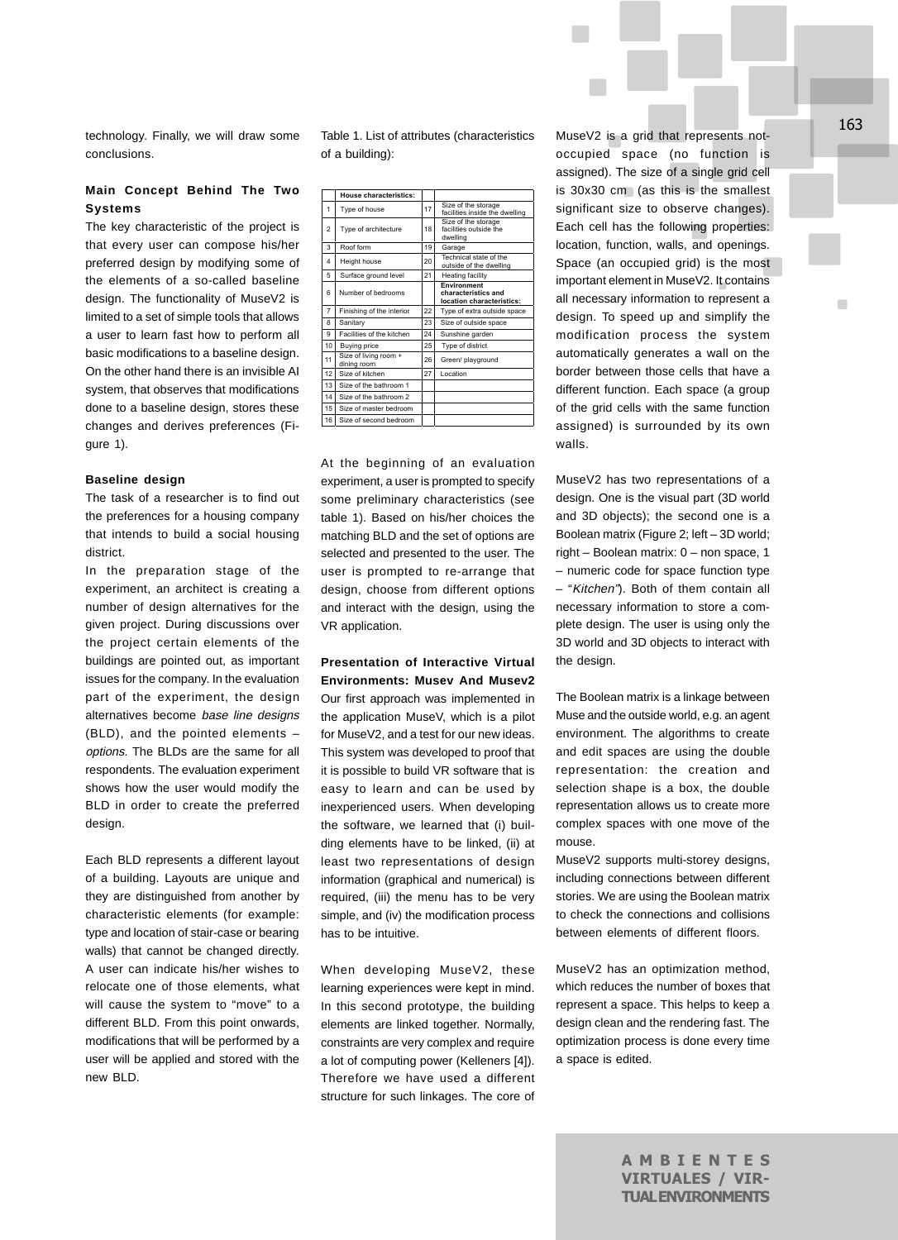technology. Finally, we will draw some conclusions.

## **Main Concept Behind The Two Systems**

The key characteristic of the project is that every user can compose his/her preferred design by modifying some of the elements of a so-called baseline design. The functionality of MuseV2 is limited to a set of simple tools that allows a user to learn fast how to perform all basic modifications to a baseline design. On the other hand there is an invisible AI system, that observes that modifications done to a baseline design, stores these changes and derives preferences (Figure 1).

#### **Baseline design**

The task of a researcher is to find out the preferences for a housing company that intends to build a social housing district.

In the preparation stage of the experiment, an architect is creating a number of design alternatives for the given project. During discussions over the project certain elements of the buildings are pointed out, as important issues for the company. In the evaluation part of the experiment, the design alternatives become base line designs (BLD), and the pointed elements – options. The BLDs are the same for all respondents. The evaluation experiment shows how the user would modify the BLD in order to create the preferred design.

Each BLD represents a different layout of a building. Layouts are unique and they are distinguished from another by characteristic elements (for example: type and location of stair-case or bearing walls) that cannot be changed directly. A user can indicate his/her wishes to relocate one of those elements, what will cause the system to "move" to a different BLD. From this point onwards, modifications that will be performed by a user will be applied and stored with the new BLD.

Table 1. List of attributes (characteristics of a building):

|                | House characteristics:               |    |                                                                 |
|----------------|--------------------------------------|----|-----------------------------------------------------------------|
|                |                                      |    |                                                                 |
| 1              | Type of house                        | 17 | Size of the storage<br>facilities inside the dwelling           |
| $\mathfrak{p}$ | Type of architecture                 | 18 | Size of the storage<br>facilities outside the<br>dwelling       |
| 3              | Roof form                            | 19 | Garage                                                          |
| 4              | Height house                         | 20 | Technical state of the<br>outside of the dwelling               |
| 5              | Surface ground level                 | 21 | Heating facility                                                |
| 6              | Number of bedrooms                   |    | Environment<br>characteristics and<br>location characteristics: |
| $\overline{7}$ | Finishing of the interior            | 22 | Type of extra outside space                                     |
| 8              | Sanitary                             | 23 | Size of outside space                                           |
| 9              | Facilities of the kitchen            | 24 | Sunshine garden                                                 |
| 10             | <b>Buying price</b>                  | 25 | Type of district                                                |
| 11             | Size of living room +<br>dining room | 26 | Green/ playground                                               |
| 12             | Size of kitchen                      | 27 | Location                                                        |
| 13             | Size of the bathroom 1               |    |                                                                 |
| 14             | Size of the bathroom 2               |    |                                                                 |
| 15             | Size of master hedroom               |    |                                                                 |
| 16             | Size of second bedroom               |    |                                                                 |

At the beginning of an evaluation experiment, a user is prompted to specify some preliminary characteristics (see table 1). Based on his/her choices the matching BLD and the set of options are selected and presented to the user. The user is prompted to re-arrange that design, choose from different options and interact with the design, using the VR application.

## **Presentation of Interactive Virtual Environments: Musev And Musev2**

Our first approach was implemented in the application MuseV, which is a pilot for MuseV2, and a test for our new ideas. This system was developed to proof that it is possible to build VR software that is easy to learn and can be used by inexperienced users. When developing the software, we learned that (i) building elements have to be linked, (ii) at least two representations of design information (graphical and numerical) is required, (iii) the menu has to be very simple, and (iv) the modification process has to be intuitive.

When developing MuseV2, these learning experiences were kept in mind. In this second prototype, the building elements are linked together. Normally, constraints are very complex and require a lot of computing power (Kelleners [4]). Therefore we have used a different structure for such linkages. The core of MuseV2 is a grid that represents notoccupied space (no function is assigned). The size of a single grid cell is 30x30 cm (as this is the smallest significant size to observe changes). Each cell has the following properties: location, function, walls, and openings. Space (an occupied grid) is the most important element in MuseV2. It contains all necessary information to represent a design. To speed up and simplify the modification process the system automatically generates a wall on the border between those cells that have a different function. Each space (a group of the grid cells with the same function assigned) is surrounded by its own walls.

MuseV2 has two representations of a design. One is the visual part (3D world and 3D objects); the second one is a Boolean matrix (Figure 2; left – 3D world; right – Boolean matrix: 0 – non space, 1 – numeric code for space function type – "Kitchen"). Both of them contain all necessary information to store a complete design. The user is using only the 3D world and 3D objects to interact with the design.

The Boolean matrix is a linkage between Muse and the outside world, e.g. an agent environment. The algorithms to create and edit spaces are using the double representation: the creation and selection shape is a box, the double representation allows us to create more complex spaces with one move of the mouse.

MuseV2 supports multi-storey designs, including connections between different stories. We are using the Boolean matrix to check the connections and collisions between elements of different floors.

MuseV2 has an optimization method, which reduces the number of boxes that represent a space. This helps to keep a design clean and the rendering fast. The optimization process is done every time a space is edited.

 $\blacksquare$ 

AMBIENTES VIRTUALES / VIR-TUAL ENVIRONMENTS